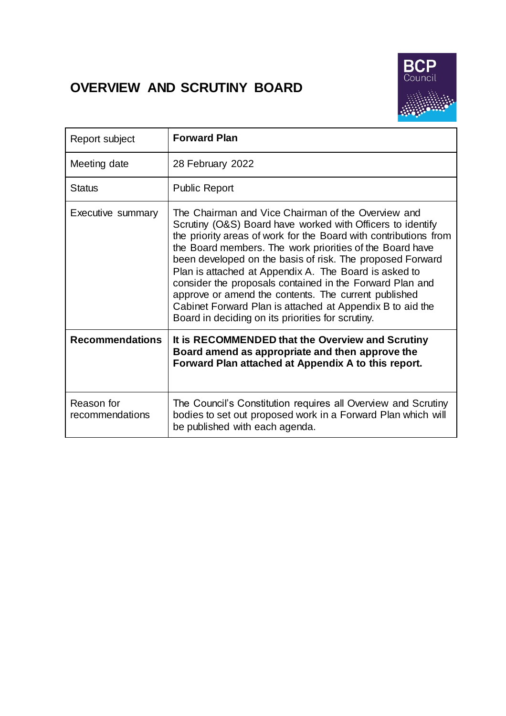# **OVERVIEW AND SCRUTINY BOARD**



| Report subject                | <b>Forward Plan</b>                                                                                                                                                                                                                                                                                                                                                                                                                                                                                                                                                                                          |
|-------------------------------|--------------------------------------------------------------------------------------------------------------------------------------------------------------------------------------------------------------------------------------------------------------------------------------------------------------------------------------------------------------------------------------------------------------------------------------------------------------------------------------------------------------------------------------------------------------------------------------------------------------|
| Meeting date                  | 28 February 2022                                                                                                                                                                                                                                                                                                                                                                                                                                                                                                                                                                                             |
| <b>Status</b>                 | <b>Public Report</b>                                                                                                                                                                                                                                                                                                                                                                                                                                                                                                                                                                                         |
| Executive summary             | The Chairman and Vice Chairman of the Overview and<br>Scrutiny (O&S) Board have worked with Officers to identify<br>the priority areas of work for the Board with contributions from<br>the Board members. The work priorities of the Board have<br>been developed on the basis of risk. The proposed Forward<br>Plan is attached at Appendix A. The Board is asked to<br>consider the proposals contained in the Forward Plan and<br>approve or amend the contents. The current published<br>Cabinet Forward Plan is attached at Appendix B to aid the<br>Board in deciding on its priorities for scrutiny. |
| <b>Recommendations</b>        | It is RECOMMENDED that the Overview and Scrutiny<br>Board amend as appropriate and then approve the<br>Forward Plan attached at Appendix A to this report.                                                                                                                                                                                                                                                                                                                                                                                                                                                   |
| Reason for<br>recommendations | The Council's Constitution requires all Overview and Scrutiny<br>bodies to set out proposed work in a Forward Plan which will<br>be published with each agenda.                                                                                                                                                                                                                                                                                                                                                                                                                                              |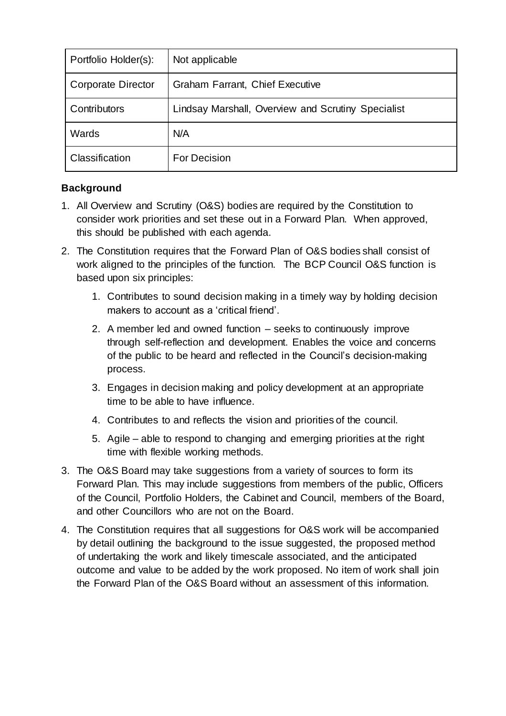| Portfolio Holder(s):      | Not applicable                                     |
|---------------------------|----------------------------------------------------|
| <b>Corporate Director</b> | <b>Graham Farrant, Chief Executive</b>             |
| Contributors              | Lindsay Marshall, Overview and Scrutiny Specialist |
| Wards                     | N/A                                                |
| Classification            | For Decision                                       |

## **Background**

- 1. All Overview and Scrutiny (O&S) bodies are required by the Constitution to consider work priorities and set these out in a Forward Plan. When approved, this should be published with each agenda.
- 2. The Constitution requires that the Forward Plan of O&S bodies shall consist of work aligned to the principles of the function. The BCP Council O&S function is based upon six principles:
	- 1. Contributes to sound decision making in a timely way by holding decision makers to account as a 'critical friend'.
	- 2. A member led and owned function seeks to continuously improve through self-reflection and development. Enables the voice and concerns of the public to be heard and reflected in the Council's decision-making process.
	- 3. Engages in decision making and policy development at an appropriate time to be able to have influence.
	- 4. Contributes to and reflects the vision and priorities of the council.
	- 5. Agile able to respond to changing and emerging priorities at the right time with flexible working methods.
- 3. The O&S Board may take suggestions from a variety of sources to form its Forward Plan. This may include suggestions from members of the public, Officers of the Council, Portfolio Holders, the Cabinet and Council, members of the Board, and other Councillors who are not on the Board.
- 4. The Constitution requires that all suggestions for O&S work will be accompanied by detail outlining the background to the issue suggested, the proposed method of undertaking the work and likely timescale associated, and the anticipated outcome and value to be added by the work proposed. No item of work shall join the Forward Plan of the O&S Board without an assessment of this information.